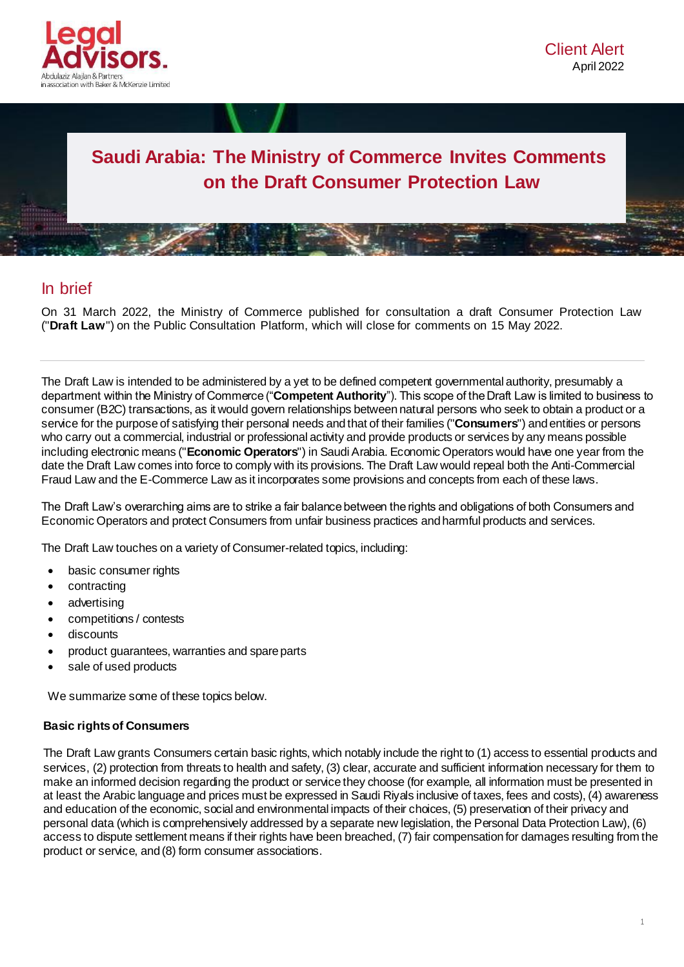

# **Saudi Arabia: The Ministry of Commerce Invites Comments on the Draft Consumer Protection Law**

# In brief

On 31 March 2022, the Ministry of Commerce published for consultation a draft Consumer Protection Law ("**Draft Law**") on the Public Consultation Platform, which will close for comments on 15 May 2022.

The Draft Law is intended to be administered by a yet to be defined competent governmental authority, presumably a department within the Ministry of Commerce ("**Competent Authority**"). This scope of the Draft Law is limited to business to consumer (B2C) transactions, as it would govern relationships between natural persons who seek to obtain a product or a service for the purpose of satisfying their personal needs and that of their families ("**Consumers**") and entities or persons who carry out a commercial, industrial or professional activity and provide products or services by any means possible including electronic means ("**Economic Operators**") in Saudi Arabia. Economic Operators would have one year from the date the Draft Law comes into force to comply with its provisions. The Draft Law would repeal both the Anti-Commercial Fraud Law and the E-Commerce Law as it incorporates some provisions and concepts from each of these laws.

The Draft Law's overarching aims are to strike a fair balance between the rights and obligations of both Consumers and Economic Operators and protect Consumers from unfair business practices and harmful products and services.

The Draft Law touches on a variety of Consumer-related topics, including:

- basic consumer rights
- contracting
- advertising
- competitions / contests
- discounts
- product guarantees, warranties and spare parts
- sale of used products

We summarize some of these topics below.

#### **Basic rights of Consumers**

The Draft Law grants Consumers certain basic rights, which notably include the right to (1) access to essential products and services, (2) protection from threats to health and safety, (3) clear, accurate and sufficient information necessary for them to make an informed decision regarding the product or service they choose (for example, all information must be presented in at least the Arabic language and prices must be expressed in Saudi Riyals inclusive of taxes, fees and costs), (4) awareness and education of the economic, social and environmental impacts of their choices, (5) preservation of their privacy and personal data (which is comprehensively addressed by a separate new legislation, the Personal Data Protection Law), (6) access to dispute settlement means if their rights have been breached, (7) fair compensation for damages resulting from the product or service, and (8) form consumer associations.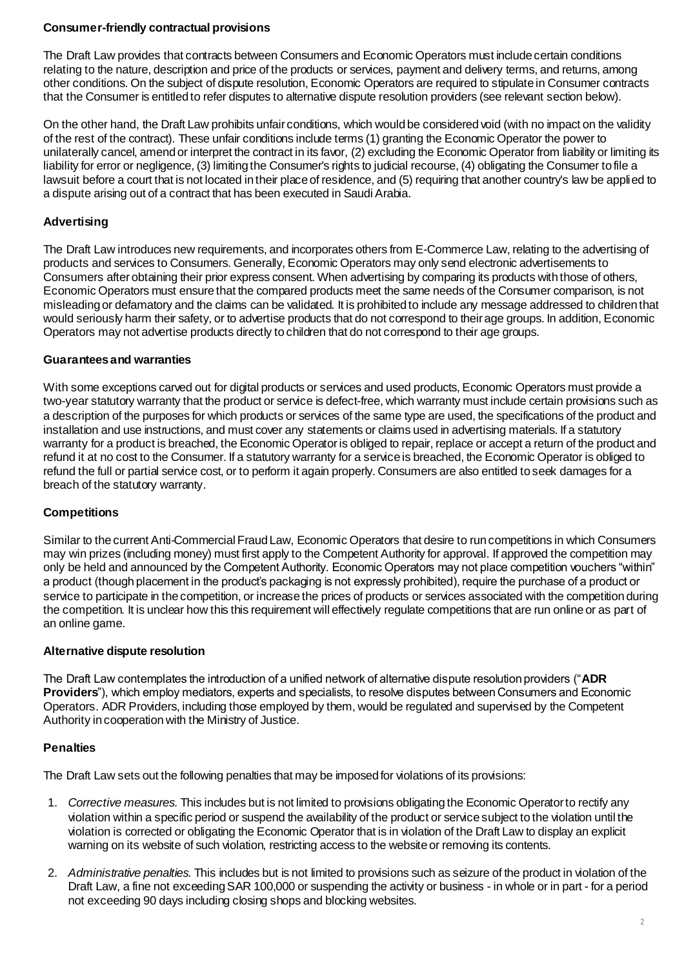#### **Consumer-friendly contractual provisions**

The Draft Law provides that contracts between Consumers and Economic Operators must include certain conditions relating to the nature, description and price of the products or services, payment and delivery terms, and returns, among other conditions. On the subject of dispute resolution, Economic Operators are required to stipulate in Consumer contracts that the Consumer is entitled to refer disputes to alternative dispute resolution providers (see relevant section below).

On the other hand, the Draft Law prohibits unfair conditions, which would be considered void (with no impact on the validity of the rest of the contract). These unfair conditions include terms (1) granting the Economic Operator the power to unilaterally cancel, amend or interpret the contract in its favor, (2) excluding the Economic Operator from liability or limiting its liability for error or negligence, (3) limiting the Consumer's rights to judicial recourse, (4) obligating the Consumer to file a lawsuit before a court that is not located in their place of residence, and (5) requiring that another country's law be applied to a dispute arising out of a contract that has been executed in Saudi Arabia.

## **Advertising**

The Draft Law introduces new requirements, and incorporates others from E-Commerce Law, relating to the advertising of products and services to Consumers. Generally, Economic Operators may only send electronic advertisements to Consumers after obtaining their prior express consent. When advertising by comparing its products with those of others, Economic Operators must ensure that the compared products meet the same needs of the Consumer comparison, is not misleading or defamatory and the claims can be validated. It is prohibited to include any message addressed to children that would seriously harm their safety, or to advertise products that do not correspond to their age groups. In addition, Economic Operators may not advertise products directly to children that do not correspond to their age groups.

#### **Guarantees and warranties**

With some exceptions carved out for digital products or services and used products, Economic Operators must provide a two-year statutory warranty that the product or service is defect-free, which warranty must include certain provisions such as a description of the purposes for which products or services of the same type are used, the specifications of the product and installation and use instructions, and must cover any statements or claims used in advertising materials. If a statutory warranty for a product is breached, the Economic Operator is obliged to repair, replace or accept a return of the product and refund it at no cost to the Consumer. If a statutory warranty for a service is breached, the Economic Operator is obliged to refund the full or partial service cost, or to perform it again properly. Consumers are also entitled to seek damages for a breach of the statutory warranty.

## **Competitions**

Similar to the current Anti-Commercial Fraud Law, Economic Operators that desire to run competitions in which Consumers may win prizes (including money) must first apply to the Competent Authority for approval. If approved the competition may only be held and announced by the Competent Authority. Economic Operators may not place competition vouchers "within" a product (though placement in the product's packaging is not expressly prohibited), require the purchase of a product or service to participate in the competition, or increase the prices of products or services associated with the competition during the competition. It is unclear how this this requirement will effectively regulate competitions that are run online or as part of an online game.

#### **Alternative dispute resolution**

The Draft Law contemplates the introduction of a unified network of alternative dispute resolution providers ("**ADR Providers**"), which employ mediators, experts and specialists, to resolve disputes between Consumers and Economic Operators. ADR Providers, including those employed by them, would be regulated and supervised by the Competent Authority in cooperation with the Ministry of Justice.

## **Penalties**

The Draft Law sets out the following penalties that may be imposed for violations of its provisions:

- 1. *Corrective measures.* This includes but is not limited to provisions obligating the Economic Operator to rectify any violation within a specific period or suspend the availability of the product or service subject to the violation until the violation is corrected or obligating the Economic Operator that is in violation of the Draft Law to display an explicit warning on its website of such violation, restricting access to the website or removing its contents.
- 2. *Administrative penalties.* This includes but is not limited to provisions such as seizure of the product in violation of the Draft Law, a fine not exceeding SAR 100,000 or suspending the activity or business - in whole or in part - for a period not exceeding 90 days including closing shops and blocking websites.